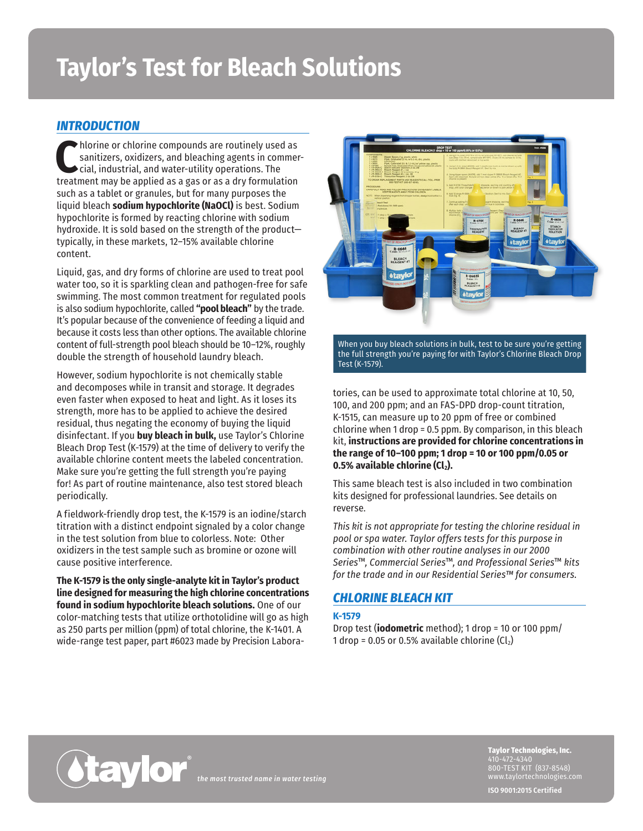# **Taylor's Test for Bleach Solutions**

# *INTRODUCTION*

**C**hlorine or chlorine compounds are routinely used as sanitizers, oxidizers, and bleaching agents in commer- $\blacktriangleright$ cial, industrial, and water-utility operations. The treatment may be applied as a gas or as a dry formulation such as a tablet or granules, but for many purposes the liquid bleach **sodium hypochlorite (NaOCl)** is best. Sodium hypochlorite is formed by reacting chlorine with sodium hydroxide. It is sold based on the strength of the product typically, in these markets, 12–15% available chlorine content.

Liquid, gas, and dry forms of chlorine are used to treat pool water too, so it is sparkling clean and pathogen-free for safe swimming. The most common treatment for regulated pools is also sodium hypochlorite, called **"pool bleach"** by the trade. It's popular because of the convenience of feeding a liquid and because it costs less than other options. The available chlorine content of full-strength pool bleach should be 10–12%, roughly double the strength of household laundry bleach.

However, sodium hypochlorite is not chemically stable and decomposes while in transit and storage. It degrades even faster when exposed to heat and light. As it loses its strength, more has to be applied to achieve the desired residual, thus negating the economy of buying the liquid disinfectant. If you **buy bleach in bulk,** use Taylor's Chlorine Bleach Drop Test (K-1579) at the time of delivery to verify the available chlorine content meets the labeled concentration. Make sure you're getting the full strength you're paying for! As part of routine maintenance, also test stored bleach periodically.

A fieldwork-friendly drop test, the K-1579 is an iodine/starch titration with a distinct endpoint signaled by a color change in the test solution from blue to colorless. Note: Other oxidizers in the test sample such as bromine or ozone will cause positive interference.

**The K-1579 is the only single-analyte kit in Taylor's product line designed for measuring the high chlorine concentrations found in sodium hypochlorite bleach solutions.** One of our color-matching tests that utilize orthotolidine will go as high as 250 parts per million (ppm) of total chlorine, the K-1401. A wide-range test paper, part #6023 made by Precision Labora-



When you buy bleach solutions in bulk, test to be sure you're getting the full strength you're paying for with Taylor's Chlorine Bleach Drop Test (K-1579).

tories, can be used to approximate total chlorine at 10, 50, 100, and 200 ppm; and an FAS-DPD drop-count titration, K-1515, can measure up to 20 ppm of free or combined chlorine when 1 drop = 0.5 ppm. By comparison, in this bleach kit, **instructions are provided for chlorine concentrations in the range of 10–100 ppm; 1 drop = 10 or 100 ppm/0.05 or 0.5% available chlorine (Cl<sub>2</sub>).** 

This same bleach test is also included in two combination kits designed for professional laundries. See details on reverse.

*This kit is not appropriate for testing the chlorine residual in pool or spa water. Taylor offers tests for this purpose in combination with other routine analyses in our 2000 Series*™*, Commercial Series*™*, and Professional Series*™ *kits for the trade and in our Residential Series™ for consumers.*

## *CHLORINE BLEACH KIT*

#### **K-1579**

Drop test (**iodometric** method); 1 drop = 10 or 100 ppm/ 1 drop = 0.05 or 0.5% available chlorine  $(Cl<sub>2</sub>)$ 



*the most trusted name in water testing*

**Taylor Technologies, Inc.** 410-472-4340 800-TEST KIT (837-8548) www.taylortechnologies.com

**ISO 9001:2015 Certified**